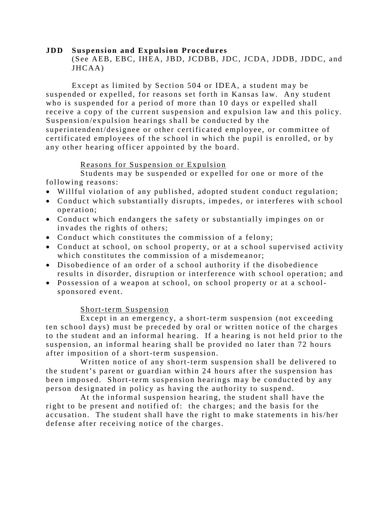#### **JDD Suspension and Expulsion Procedures**  (See AEB, EBC, IHEA, JBD, JCDBB, JDC, JCDA, JDDB, JDDC, and JHCAA)

Except as limited by Section 504 or IDEA, a student may be suspended or expelled, for reasons set forth in Kansas law. Any student who is suspended for a period of more than 10 days or expelled shall receive a copy of the current suspension and expulsion law and this policy. Suspension/expulsion hearings shall be conducted by the superintendent/designee or other certificated employee, or committee of certificated employees of the school in which the pupil is enrolled, or by any other hearing officer appointed by the board.

### Reasons for Suspension or Expulsion

Students may be suspended or expelled for one or more of the following reasons:

- Willful violation of any published, adopted student conduct regulation;
- Conduct which substantially disrupts, impedes, or interferes with school operation;
- Conduct which endangers the safety or substantially impinges on or invades the rights of others;
- Conduct which constitutes the commission of a felony;
- Conduct at school, on school property, or at a school supervised activity which constitutes the commission of a misdemeanor;
- Disobedience of an order of a school authority if the disobedience results in disorder, disruption or interference with school operation; and
- Possession of a weapon at school, on school property or at a schoolsponsored event.

### Short-term Suspension

Except in an emergency, a short-term suspension (not exceeding ten school days) must be preceded by oral or written notice of the charges to the student and an informal hearing. If a hearing is not held prior to the suspension, an informal hearing shall be provided no later than 72 hours after imposition of a short-term suspension.

Written notice of any short-term suspension shall be delivered to the student's parent or guardian within 24 hours after the suspension has been imposed. Short-term suspension hearings may be conducted by any person designated in policy as having the authority to suspend.

At the informal suspension hearing, the student shall have the right to be present and notified of: the charges; and the basis for the accusation. The student shall have the right to make statements in his/her defense after receiving notice of the charges.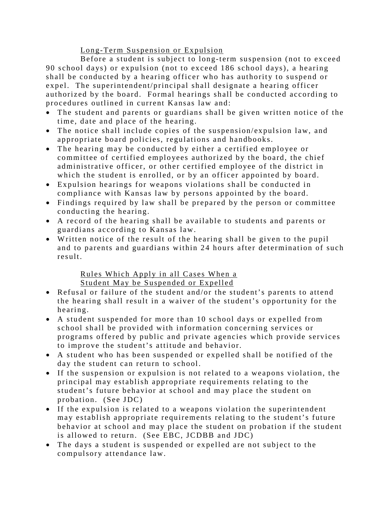# Long-Term Suspension or Expulsion

Before a student is subject to long-term suspension (not to exceed 90 school days) or expulsion (not to exceed 186 school days), a hearing shall be conducted by a hearing officer who has authority to suspend or expel. The superintendent/principal shall designate a hearing officer authorized by the board. Formal hearings shall be conducted according to procedures outlined in current Kansas law and:

- The student and parents or guardians shall be given written notice of the time, date and place of the hearing.
- The notice shall include copies of the suspension/expulsion law, and appropriate board policies, regulations and handbooks.
- The hearing may be conducted by either a certified employee or committee of certified employees authorized by the board, the chief administrative officer, or other certified employee of the district in which the student is enrolled, or by an officer appointed by board.
- Expulsion hearings for weapons violations shall be conducted in compliance with Kansas law by persons appointed by the board.
- Findings required by law shall be prepared by the person or committee conducting the hearing.
- A record of the hearing shall be available to students and parents or guardians according to Kansas law.
- Written notice of the result of the hearing shall be given to the pupil and to parents and guardians within 24 hours after determination of such result.

# Rules Which Apply in all Cases When a Student May be Suspended or Expelled

- Refusal or failure of the student and/or the student's parents to attend the hearing shall result in a waiver of the student's opportunity for the hearing.
- A student suspended for more than 10 school days or expelled from school shall be provided with information concerning services or programs offered by public and private agencies which provide services to improve the student's attitude and behavior.
- A student who has been suspended or expelled shall be notified of the day the student can return to school.
- If the suspension or expulsion is not related to a weapons violation, the principal may establish appropriate requirements relating to the student's future behavior at school and may place the student on probation. (See JDC)
- If the expulsion is related to a weapons violation the superintendent may establish appropriate requirements relating to the student's future behavior at school and may place the student on probation if the student is allowed to return. (See EBC, JCDBB and JDC)
- The days a student is suspended or expelled are not subject to the compulsory attendance law.